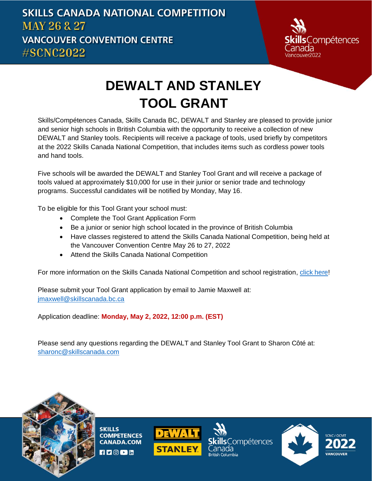

# **DEWALT AND STANLEY TOOL GRANT**

Skills/Compétences Canada, Skills Canada BC, DEWALT and Stanley are pleased to provide junior and senior high schools in British Columbia with the opportunity to receive a collection of new DEWALT and Stanley tools. Recipients will receive a package of tools, used briefly by competitors at the 2022 Skills Canada National Competition, that includes items such as cordless power tools and hand tools.

Five schools will be awarded the DEWALT and Stanley Tool Grant and will receive a package of tools valued at approximately \$10,000 for use in their junior or senior trade and technology programs. Successful candidates will be notified by Monday, May 16.

To be eligible for this Tool Grant your school must:

- Complete the Tool Grant Application Form
- Be a junior or senior high school located in the province of British Columbia
- Have classes registered to attend the Skills Canada National Competition, being held at the Vancouver Convention Centre May 26 to 27, 2022
- Attend the Skills Canada National Competition

For more information on the Skills Canada National Competition and school registration, [click here!](https://www.skillscompetencescanada.com/en/event/skills-canada-national-competition-2022/)

Please submit your Tool Grant application by email to Jamie Maxwell at: [jmaxwell@skillscanada.bc.ca](mailto:jmaxwell@skillscanada.bc.ca)

Application deadline: **Monday, May 2, 2022, 12:00 p.m. (EST)**

Please send any questions regarding the DEWALT and Stanley Tool Grant to Sharon Côté at: [sharonc@skillscanada.com](mailto:sharonc@skillscanada.com)



**SKILLS COMPETENCES CANADA.COM**  $H \trianglerighteq \lbrack \odot \lbrack$  in



**Compétences** 



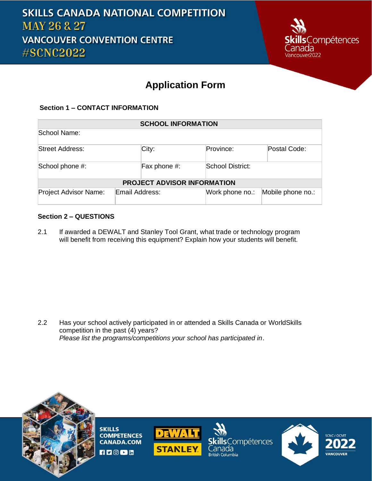

### **Application Form**

#### **Section 1 – CONTACT INFORMATION**

| <b>SCHOOL INFORMATION</b>          |                |                  |                   |  |
|------------------------------------|----------------|------------------|-------------------|--|
| School Name:                       |                |                  |                   |  |
| Street Address:                    | City:          | Province:        | Postal Code:      |  |
| School phone #:                    | Fax phone #:   | School District: |                   |  |
| <b>PROJECT ADVISOR INFORMATION</b> |                |                  |                   |  |
| <b>Project Advisor Name:</b>       | Email Address: | Work phone no.:  | Mobile phone no.: |  |

#### **Section 2 – QUESTIONS**

2.1 If awarded a DEWALT and Stanley Tool Grant, what trade or technology program will benefit from receiving this equipment? Explain how your students will benefit.

2.2 Has your school actively participated in or attended a Skills Canada or WorldSkills competition in the past (4) years? *Please list the programs/competitions your school has participated in*.



**SKILLS COMPETENCES CANADA.COM**  $H$   $\Box$   $\odot$   $\Box$   $\Box$ 



killsCompétences `anada **British Columbia**